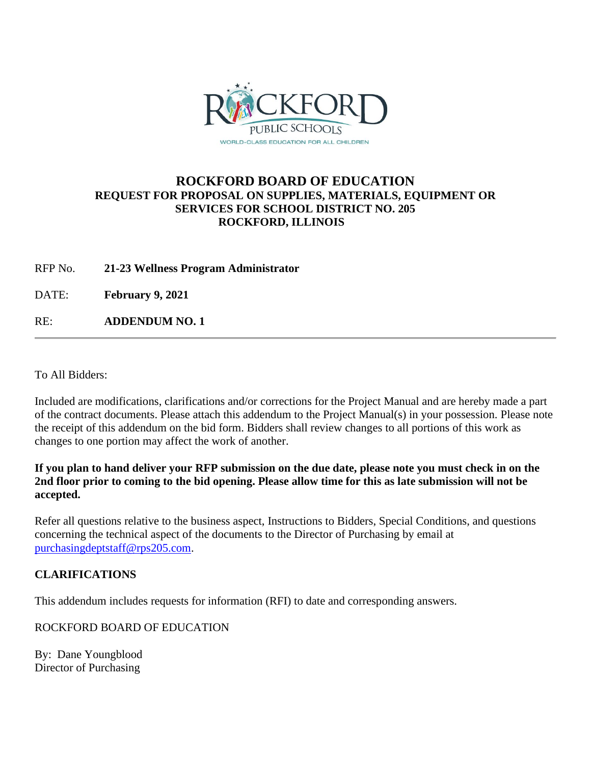

## **ROCKFORD BOARD OF EDUCATION REQUEST FOR PROPOSAL ON SUPPLIES, MATERIALS, EQUIPMENT OR SERVICES FOR SCHOOL DISTRICT NO. 205 ROCKFORD, ILLINOIS**

RFP No. **21-23 Wellness Program Administrator**

DATE: **February 9, 2021**

RE: **ADDENDUM NO. 1**

To All Bidders:

Included are modifications, clarifications and/or corrections for the Project Manual and are hereby made a part of the contract documents. Please attach this addendum to the Project Manual(s) in your possession. Please note the receipt of this addendum on the bid form. Bidders shall review changes to all portions of this work as changes to one portion may affect the work of another.

**If you plan to hand deliver your RFP submission on the due date, please note you must check in on the 2nd floor prior to coming to the bid opening. Please allow time for this as late submission will not be accepted.**

Refer all questions relative to the business aspect, Instructions to Bidders, Special Conditions, and questions concerning the technical aspect of the documents to the Director of Purchasing by email at [purchasingdeptstaff@rps205.com.](mailto:purchasingdeptstaff@rps205.com)

## **CLARIFICATIONS**

This addendum includes requests for information (RFI) to date and corresponding answers.

ROCKFORD BOARD OF EDUCATION

By: Dane Youngblood Director of Purchasing